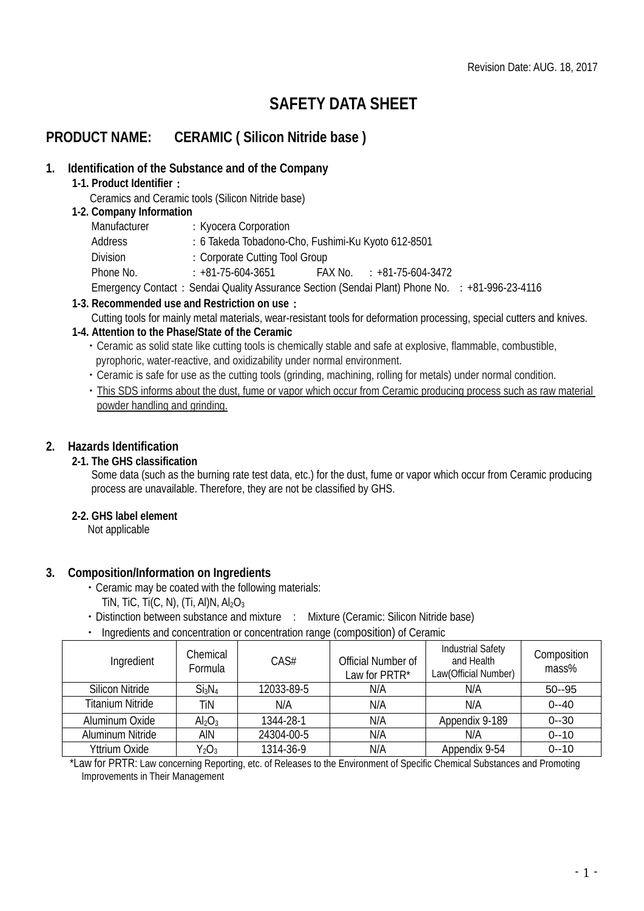# **SAFETY DATA SHEET**

## **PRODUCT NAME: CERAMIC ( Silicon Nitride base )**

## **1. Identification of the Substance and of the Company**

**1-1. Product Identifier**:

Ceramics and Ceramic tools (Silicon Nitride base)

## **1-2. Company Information**

| Manufacturer | : Kyocera Corporation                                                                          |                           |  |
|--------------|------------------------------------------------------------------------------------------------|---------------------------|--|
| Address      | : 6 Takeda Tobadono-Cho, Fushimi-Ku Kyoto 612-8501                                             |                           |  |
| Division     | : Corporate Cutting Tool Group                                                                 |                           |  |
| Phone No.    | : +81-75-604-3651                                                                              | FAX No. : +81-75-604-3472 |  |
|              | Emergency Contact: Sendai Quality Assurance Section (Sendai Plant) Phone No. : +81-996-23-4116 |                           |  |

- **1-3. Recommended use and Restriction on use**:
	- Cutting tools for mainly metal materials, wear-resistant tools for deformation processing, special cutters and knives.

## **1-4. Attention to the Phase/State of the Ceramic**

- ・Ceramic as solid state like cutting tools is chemically stable and safe at explosive, flammable, combustible, pyrophoric, water-reactive, and oxidizability under normal environment.
- ・Ceramic is safe for use as the cutting tools (grinding, machining, rolling for metals) under normal condition.
- ・This SDS informs about the dust, fume or vapor which occur from Ceramic producing process such as raw material powder handling and grinding.

## **2. Hazards Identification**

## **2-1. The GHS classification**

Some data (such as the burning rate test data, etc.) for the dust, fume or vapor which occur from Ceramic producing process are unavailable. Therefore, they are not be classified by GHS.

## **2-2. GHS label element**

Not applicable

## **3. Composition/Information on Ingredients**

- ・Ceramic may be coated with the following materials:
- TIN, TIC, TI(C, N), (TI, Al)N,  $Al_2O_3$
- Distinction between substance and mixture : Mixture (Ceramic: Silicon Nitride base)
- ・ Ingredients and concentration or concentration range (composition) of Ceramic

| Ingredient              | Chemical<br>Formula            | CAS#       | Official Number of<br>Law for PRTR* | <b>Industrial Safety</b><br>and Health<br>Law(Official Number) | Composition<br>mass% |
|-------------------------|--------------------------------|------------|-------------------------------------|----------------------------------------------------------------|----------------------|
| <b>Silicon Nitride</b>  | Si <sub>3</sub> N <sub>4</sub> | 12033-89-5 | N/A                                 | N/A                                                            | $50 - 95$            |
| <b>Titanium Nitride</b> | TiN                            | N/A        | N/A                                 | N/A                                                            | $0 - -40$            |
| Aluminum Oxide          | $Al_2O_3$                      | 1344-28-1  | N/A                                 | Appendix 9-189                                                 | $0 - 30$             |
| Aluminum Nitride        | AIN                            | 24304-00-5 | N/A                                 | N/A                                                            | $0 - 10$             |
| Yttrium Oxide           | $Y_2O_3$                       | 1314-36-9  | N/A                                 | Appendix 9-54                                                  | $0 - 10$             |

\*Law for PRTR: Law concerning Reporting, etc. of Releases to the Environment of Specific Chemical Substances and Promoting Improvements in Their Management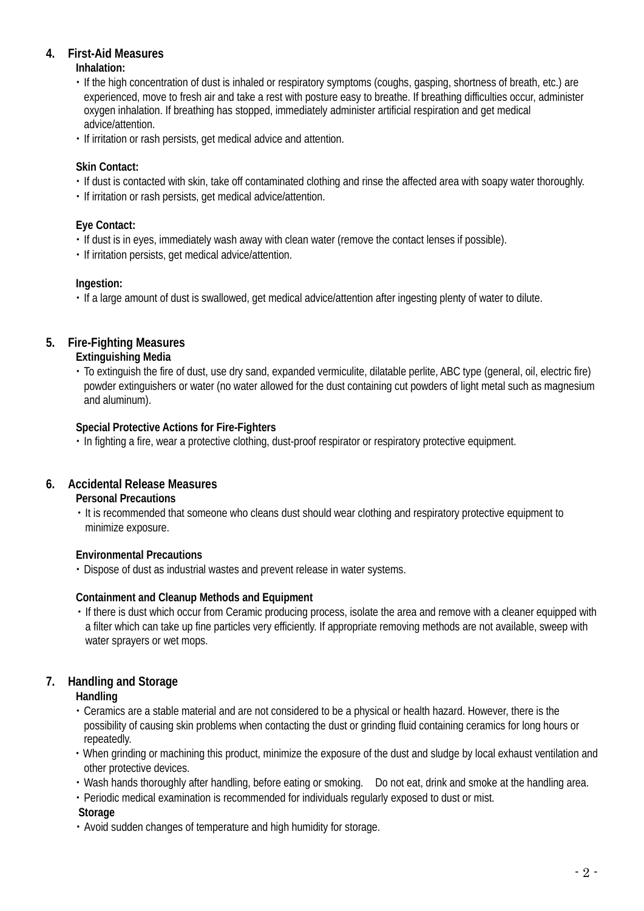## **4. First-Aid Measures**

**Inhalation:**

- ・If the high concentration of dust is inhaled or respiratory symptoms (coughs, gasping, shortness of breath, etc.) are experienced, move to fresh air and take a rest with posture easy to breathe. If breathing difficulties occur, administer oxygen inhalation. If breathing has stopped, immediately administer artificial respiration and get medical advice/attention.
- ・If irritation or rash persists, get medical advice and attention.

## **Skin Contact:**

- ・If dust is contacted with skin, take off contaminated clothing and rinse the affected area with soapy water thoroughly.
- ・If irritation or rash persists, get medical advice/attention.

## **Eye Contact:**

- ・If dust is in eyes, immediately wash away with clean water (remove the contact lenses if possible).
- ・If irritation persists, get medical advice/attention.

### **Ingestion:**

・If a large amount of dust is swallowed, get medical advice/attention after ingesting plenty of water to dilute.

## **5. Fire-Fighting Measures**

### **Extinguishing Media**

・To extinguish the fire of dust, use dry sand, expanded vermiculite, dilatable perlite, ABC type (general, oil, electric fire) powder extinguishers or water (no water allowed for the dust containing cut powders of light metal such as magnesium and aluminum).

## **Special Protective Actions for Fire-Fighters**

・In fighting a fire, wear a protective clothing, dust-proof respirator or respiratory protective equipment.

## **6. Accidental Release Measures**

#### **Personal Precautions**

・It is recommended that someone who cleans dust should wear clothing and respiratory protective equipment to minimize exposure.

#### **Environmental Precautions**

・Dispose of dust as industrial wastes and prevent release in water systems.

## **Containment and Cleanup Methods and Equipment**

・If there is dust which occur from Ceramic producing process, isolate the area and remove with a cleaner equipped with a filter which can take up fine particles very efficiently. If appropriate removing methods are not available, sweep with water sprayers or wet mops.

## **7. Handling and Storage**

## **Handling**

- ・Ceramics are a stable material and are not considered to be a physical or health hazard. However, there is the possibility of causing skin problems when contacting the dust or grinding fluid containing ceramics for long hours or repeatedly.
- ・When grinding or machining this product, minimize the exposure of the dust and sludge by local exhaust ventilation and other protective devices.
- ・Wash hands thoroughly after handling, before eating or smoking. Do not eat, drink and smoke at the handling area.
- ・Periodic medical examination is recommended for individuals regularly exposed to dust or mist.

#### **Storage**

・Avoid sudden changes of temperature and high humidity for storage.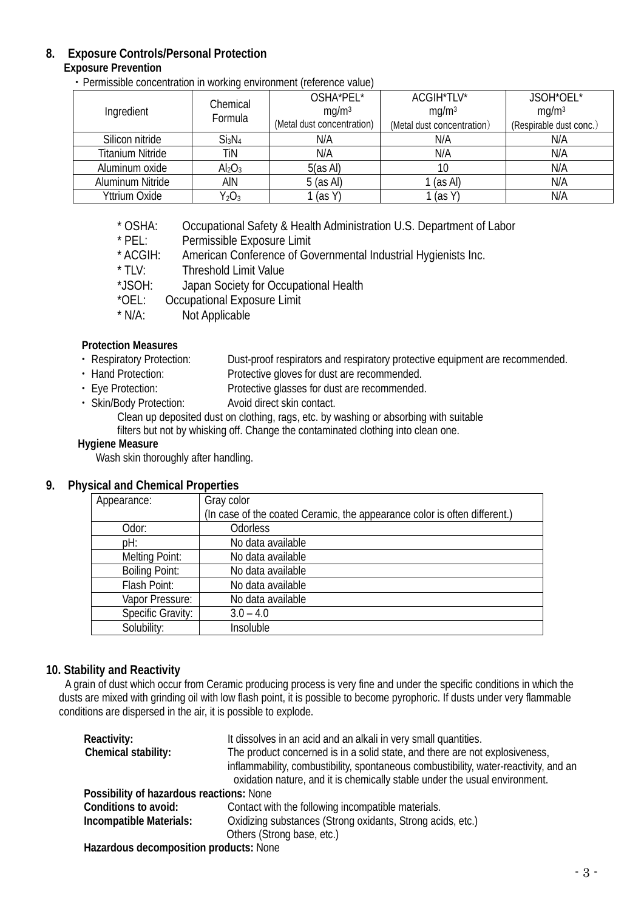## **8. Exposure Controls/Personal Protection**

## **Exposure Prevention**

・Permissible concentration in working environment (reference value)

|                         | Chemical<br>Formula            | OSHA*PEL*                  | ACGIH*TLV*                 | JSOH*OEL*               |
|-------------------------|--------------------------------|----------------------------|----------------------------|-------------------------|
| Ingredient              |                                | mq/m <sup>3</sup>          | mq/m <sup>3</sup>          | mg/m <sup>3</sup>       |
|                         |                                | (Metal dust concentration) | (Metal dust concentration) | (Respirable dust conc.) |
| Silicon nitride         | Si <sub>3</sub> N <sub>4</sub> | N/A                        | N/A                        | N/A                     |
| <b>Titanium Nitride</b> | TiN                            | N/A                        | N/A                        | N/A                     |
| Aluminum oxide          | Al <sub>2</sub> O <sub>3</sub> | 5(as Al)                   | 10                         | N/A                     |
| Aluminum Nitride        | ain                            | $5$ (as AI)                | 1 (as Al)                  | N/A                     |
| Yttrium Oxide           | $Y_2O_3$                       | (as Y)                     | (as Y)                     | N/A                     |

\* OSHA: Occupational Safety & Health Administration U.S. Department of Labor<br>\* PEL: Permissible Exposure Limit

\* PEL: Permissible Exposure Limit<br>\* ACGIH: American Conference of Go

- \* ACGIH: American Conference of Governmental Industrial Hygienists Inc.<br>\* TIV: Threshold Limit Value
- \* TLV: Threshold Limit Value<br>\*JSOH: Japan Society for Occ
- \*JSOH: Japan Society for Occupational Health<br>\*OEL: Occupational Exposure Limit
- \*OEL: Occupational Exposure Limit<br>\* N/A: Not Applicable
- Not Applicable

## **Protection Measures**

- Respiratory Protection: Dust-proof respirators and respiratory protective equipment are recommended.<br>• Hand Protection: Protective gloves for dust are recommended.
- Hand Protection: Protective gloves for dust are recommended.<br>• Eye Protection: Protective glasses for dust are recommended
- Eye Protection: Protective glasses for dust are recommended.<br>• Skin/Body Protection: Avoid direct skin contact.
- Avoid direct skin contact.

Clean up deposited dust on clothing, rags, etc. by washing or absorbing with suitable filters but not by whisking off. Change the contaminated clothing into clean one.

## **Hygiene Measure**

Wash skin thoroughly after handling.

## **9. Physical and Chemical Properties**

| Appearance:           | Gray color                                                                |
|-----------------------|---------------------------------------------------------------------------|
|                       | (In case of the coated Ceramic, the appearance color is often different.) |
| Odor:                 | <b>Odorless</b>                                                           |
| pH:                   | No data available                                                         |
| Melting Point:        | No data available                                                         |
| <b>Boiling Point:</b> | No data available                                                         |
| Flash Point:          | No data available                                                         |
| Vapor Pressure:       | No data available                                                         |
| Specific Gravity:     | $3.0 - 4.0$                                                               |
| Solubility:           | Insoluble                                                                 |

## **10. Stability and Reactivity**

A grain of dust which occur from Ceramic producing process is very fine and under the specific conditions in which the dusts are mixed with grinding oil with low flash point, it is possible to become pyrophoric. If dusts under very flammable conditions are dispersed in the air, it is possible to explode.

| Reactivity:                              | It dissolves in an acid and an alkali in very small quantities.                      |  |
|------------------------------------------|--------------------------------------------------------------------------------------|--|
| Chemical stability:                      | The product concerned is in a solid state, and there are not explosiveness,          |  |
|                                          | inflammability, combustibility, spontaneous combustibility, water-reactivity, and an |  |
|                                          | oxidation nature, and it is chemically stable under the usual environment.           |  |
| Possibility of hazardous reactions: None |                                                                                      |  |
| Conditions to avoid:                     | Contact with the following incompatible materials.                                   |  |
| Incompatible Materials:                  | Oxidizing substances (Strong oxidants, Strong acids, etc.)                           |  |
|                                          | Others (Strong base, etc.)                                                           |  |
| Hazardous decomposition products: None   |                                                                                      |  |

**Hazardous decomposition products:** None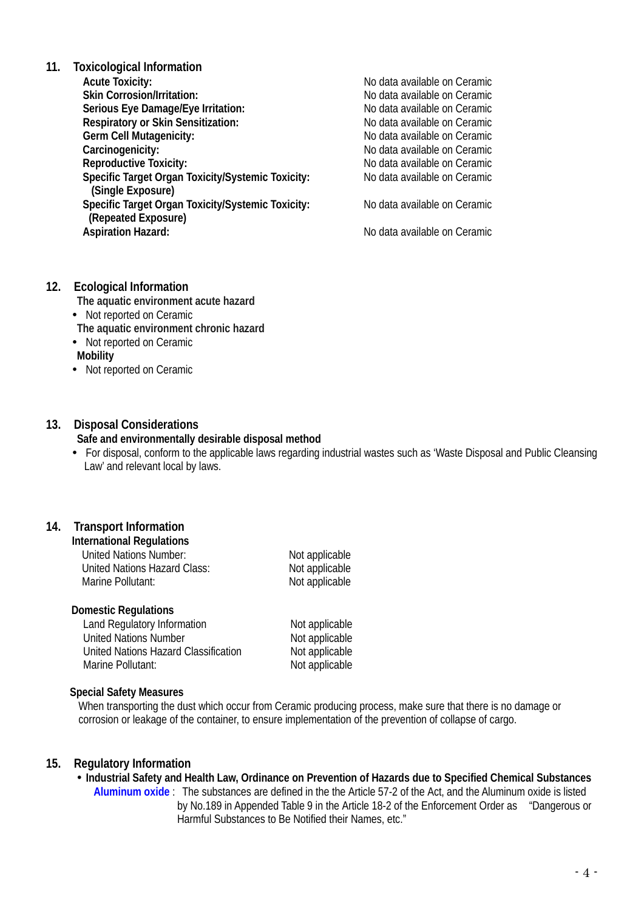**11. Toxicological Information Skin Corrosion/Irritation: No data available on Ceramic Serious Eve Damage/Eve Irritation: No data available on Ceramic Serious Eve Damage/Eve Irritation: No data available on Ceramic Serious Eye Damage/Eye Irritation:** <br> **Respiratory or Skin Sensitization:** No data available on Ceramic **Respiratory or Skin Sensitization:**<br>Germ Cell Mutagenicity: **Germ Cell Mutagenicity:** <br> **Carcinogenicity:** No data available on Ceramic<br>
No data available on Ceramic **Carcinogenicity:**  $\begin{array}{c} \n\hline\n\end{array}$  No data available on Ceramic<br> **Reproductive Toxicity:**  $\begin{array}{c} \n\hline\n\end{array}$  No data available on Ceramic **Specific Target Organ Toxicity/Systemic Toxicity: (Single Exposure)** Specific Target Organ Toxicity/Systemic Toxicity: No data available on Ceramic **(Repeated Exposure)**

No data available on Ceramic<br>No data available on Ceramic No data available on Ceramic<br>No data available on Ceramic

**Aspiration Hazard:** No data available on Ceramic

#### **12. Ecological Information**

- **The aquatic environment acute hazard**
- Not reported on Ceramic

**The aquatic environment chronic hazard**

- Not reported on Ceramic
- **Mobility**
- Not reported on Ceramic

#### **13. Disposal Considerations**

#### **Safe and environmentally desirable disposal method**

 For disposal, conform to the applicable laws regarding industrial wastes such as 'Waste Disposal and Public Cleansing Law' and relevant local by laws.

## **14. Transport Information**

**International Regulations**

| United Nations Number:       | Not applicable |
|------------------------------|----------------|
| United Nations Hazard Class: | Not applicable |
| Marine Pollutant:            | Not applicable |

#### **Domestic Regulations**

Land Regulatory Information<br>
United Nations Number<br>
Not applicable<br>
Not applicable United Nations Number<br>
United Nations Hazard Classification<br>
Not applicable United Nations Hazard Classification Marine Pollutant: Not applicable

#### **Special Safety Measures**

When transporting the dust which occur from Ceramic producing process, make sure that there is no damage or corrosion or leakage of the container, to ensure implementation of the prevention of collapse of cargo.

#### **15. Regulatory Information**

 **Industrial Safety and Health Law, Ordinance on Prevention of Hazards due to Specified Chemical Substances Aluminum oxide** : The substances are defined in the [the Article 57-2 of the Act,](http://www.jniosh.go.jp/icpro/jicosh-old/japanese/country/japan/laws/01_occ/05b.html#lawA57b) and the Aluminum oxide is listed by No.189 in Appended Table 9 in the Article 18-2 of the Enforcement Order as "Dangerous or Harmful Substances to Be Notified their Names, etc."